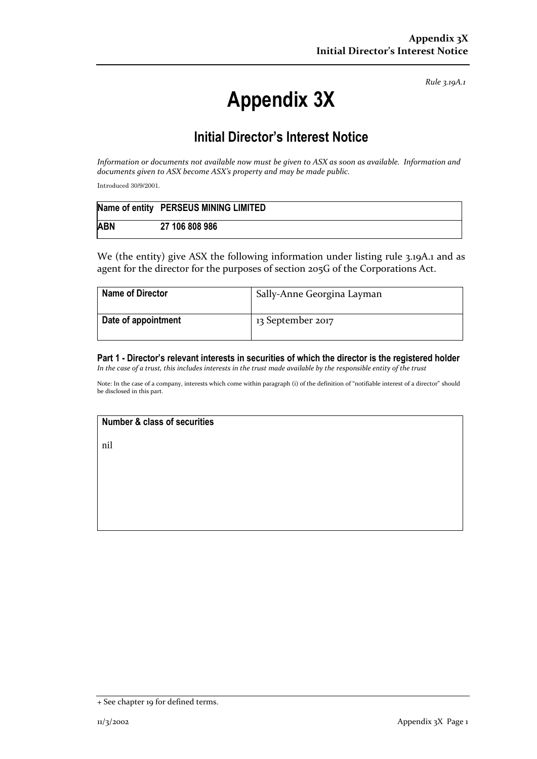*Rule 3.19A.1*

# **Appendix 3X**

## **Initial Director's Interest Notice**

*Information or documents not available now must be given to ASX as soon as available. Information and documents given to ASX become ASX's property and may be made public.*

Introduced 30/9/2001.

|            | Name of entity PERSEUS MINING LIMITED |
|------------|---------------------------------------|
| <b>ABN</b> | 27 106 808 986                        |

We (the entity) give ASX the following information under listing rule 3.19A.1 and as agent for the director for the purposes of section 205G of the Corporations Act.

| <b>Name of Director</b> | Sally-Anne Georgina Layman |
|-------------------------|----------------------------|
| Date of appointment     | 13 September 2017          |

**Part 1 - Director's relevant interests in securities of which the director is the registered holder** *In the case of a trust, this includes interests in the trust made available by the responsible entity of the trust*

Note: In the case of a company, interests which come within paragraph (i) of the definition of "notifiable interest of a director" should be disclosed in this part.

### **Number & class of securities**

nil

<sup>+</sup> See chapter 19 for defined terms.